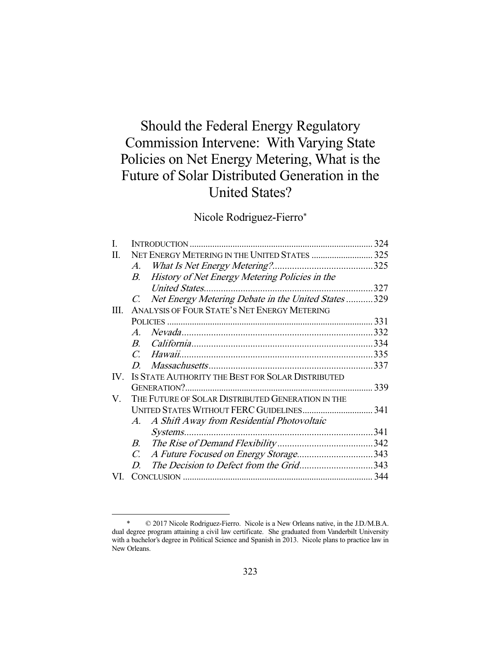# Should the Federal Energy Regulatory Commission Intervene: With Varying State Policies on Net Energy Metering, What is the Future of Solar Distributed Generation in the United States?

# Nicole Rodriguez-Fierro\*

|                                                                    | 324                                   |
|--------------------------------------------------------------------|---------------------------------------|
|                                                                    |                                       |
| $A_{\cdot}$                                                        |                                       |
| History of Net Energy Metering Policies in the<br>B.               |                                       |
|                                                                    |                                       |
| Net Energy Metering Debate in the United States 329<br>$C_{\cdot}$ |                                       |
| ANALYSIS OF FOUR STATE'S NET ENERGY METERING                       |                                       |
|                                                                    | .331                                  |
| $\mathcal{A}$                                                      |                                       |
|                                                                    |                                       |
|                                                                    |                                       |
|                                                                    |                                       |
| IS STATE AUTHORITY THE BEST FOR SOLAR DISTRIBUTED                  |                                       |
|                                                                    | .339                                  |
| THE FUTURE OF SOLAR DISTRIBUTED GENERATION IN THE                  |                                       |
|                                                                    |                                       |
| A. A Shift Away from Residential Photovoltaic                      |                                       |
|                                                                    | .341                                  |
| B.                                                                 |                                       |
| $C_{\cdot}$                                                        |                                       |
| The Decision to Defect from the Grid343<br>D.                      |                                       |
|                                                                    |                                       |
|                                                                    | A Future Focused on Energy Storage343 |

 <sup>\* © 2017</sup> Nicole Rodriguez-Fierro. Nicole is a New Orleans native, in the J.D./M.B.A. dual degree program attaining a civil law certificate. She graduated from Vanderbilt University with a bachelor's degree in Political Science and Spanish in 2013. Nicole plans to practice law in New Orleans.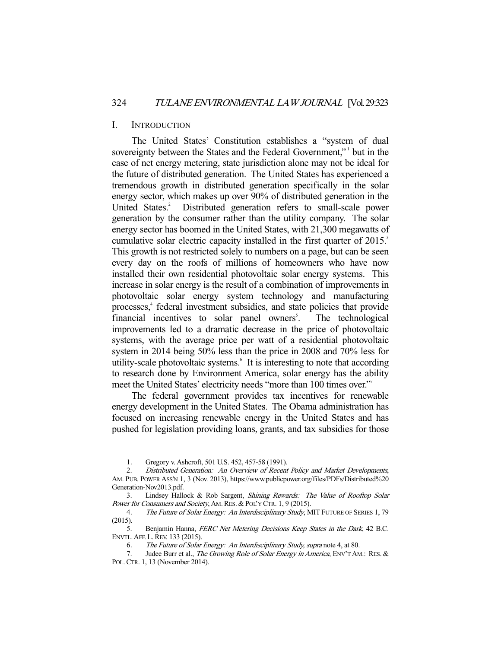#### I. INTRODUCTION

 The United States' Constitution establishes a "system of dual sovereignty between the States and the Federal Government," but in the case of net energy metering, state jurisdiction alone may not be ideal for the future of distributed generation. The United States has experienced a tremendous growth in distributed generation specifically in the solar energy sector, which makes up over 90% of distributed generation in the United States.<sup>2</sup> Distributed generation refers to small-scale power generation by the consumer rather than the utility company. The solar energy sector has boomed in the United States, with 21,300 megawatts of cumulative solar electric capacity installed in the first quarter of  $2015$ .<sup>3</sup> This growth is not restricted solely to numbers on a page, but can be seen every day on the roofs of millions of homeowners who have now installed their own residential photovoltaic solar energy systems. This increase in solar energy is the result of a combination of improvements in photovoltaic solar energy system technology and manufacturing processes,<sup>4</sup> federal investment subsidies, and state policies that provide financial incentives to solar panel owners<sup>5</sup>. . The technological improvements led to a dramatic decrease in the price of photovoltaic systems, with the average price per watt of a residential photovoltaic system in 2014 being 50% less than the price in 2008 and 70% less for utility-scale photovoltaic systems.<sup>6</sup> It is interesting to note that according to research done by Environment America, solar energy has the ability meet the United States' electricity needs "more than 100 times over."7

 The federal government provides tax incentives for renewable energy development in the United States. The Obama administration has focused on increasing renewable energy in the United States and has pushed for legislation providing loans, grants, and tax subsidies for those

 <sup>1</sup>. Gregory v. Ashcroft, 501 U.S. 452, 457-58 (1991).

 <sup>2.</sup> Distributed Generation: An Overview of Recent Policy and Market Developments, AM. PUB. POWER ASS'N 1, 3 (Nov. 2013), https://www.publicpower.org/files/PDFs/Distributed%20 Generation-Nov2013.pdf.

 <sup>3.</sup> Lindsey Hallock & Rob Sargent, Shining Rewards: The Value of Rooftop Solar Power for Consumers and Society, AM. RES. & POL'Y CTR. 1, 9 (2015).

<sup>4.</sup> The Future of Solar Energy: An Interdisciplinary Study, MIT FUTURE OF SERIES 1, 79 (2015).

<sup>5.</sup> Benjamin Hanna, *FERC Net Metering Decisions Keep States in the Dark*, 42 B.C. ENVTL.AFF. L.REV. 133 (2015).

<sup>6</sup>. The Future of Solar Energy: An Interdisciplinary Study, supra note 4, at 80.

<sup>7.</sup> Judee Burr et al., The Growing Role of Solar Energy in America, ENV'T AM.: RES. & POL.CTR. 1, 13 (November 2014).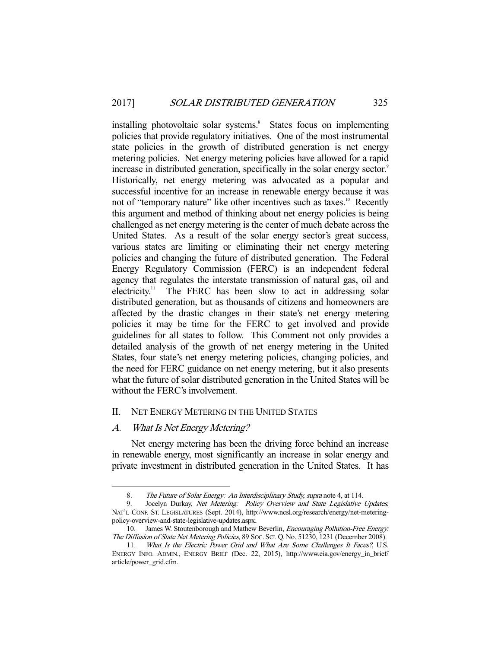installing photovoltaic solar systems.<sup>8</sup> States focus on implementing policies that provide regulatory initiatives. One of the most instrumental state policies in the growth of distributed generation is net energy metering policies. Net energy metering policies have allowed for a rapid increase in distributed generation, specifically in the solar energy sector.<sup>9</sup> Historically, net energy metering was advocated as a popular and successful incentive for an increase in renewable energy because it was not of "temporary nature" like other incentives such as taxes.<sup>10</sup> Recently this argument and method of thinking about net energy policies is being challenged as net energy metering is the center of much debate across the United States. As a result of the solar energy sector's great success, various states are limiting or eliminating their net energy metering policies and changing the future of distributed generation. The Federal Energy Regulatory Commission (FERC) is an independent federal agency that regulates the interstate transmission of natural gas, oil and electricity.<sup>11</sup> The FERC has been slow to act in addressing solar The FERC has been slow to act in addressing solar distributed generation, but as thousands of citizens and homeowners are affected by the drastic changes in their state's net energy metering policies it may be time for the FERC to get involved and provide guidelines for all states to follow. This Comment not only provides a detailed analysis of the growth of net energy metering in the United States, four state's net energy metering policies, changing policies, and the need for FERC guidance on net energy metering, but it also presents what the future of solar distributed generation in the United States will be without the FERC's involvement.

## II. NET ENERGY METERING IN THE UNITED STATES

### A. What Is Net Energy Metering?

 Net energy metering has been the driving force behind an increase in renewable energy, most significantly an increase in solar energy and private investment in distributed generation in the United States. It has

 <sup>8</sup>. The Future of Solar Energy: An Interdisciplinary Study, supra note 4, at 114.

<sup>9.</sup> Jocelyn Durkay, Net Metering: Policy Overview and State Legislative Updates, NAT'L CONF. ST. LEGISLATURES (Sept. 2014), http://www.ncsl.org/research/energy/net-meteringpolicy-overview-and-state-legislative-updates.aspx.

<sup>10.</sup> James W. Stoutenborough and Mathew Beverlin, *Encouraging Pollution-Free Energy:* The Diffusion of State Net Metering Policies, 89 SOC. SCI. Q. No. 51230, 1231 (December 2008).

<sup>11</sup>. What Is the Electric Power Grid and What Are Some Challenges It Faces?, U.S. ENERGY INFO. ADMIN., ENERGY BRIEF (Dec. 22, 2015), http://www.eia.gov/energy\_in\_brief/ article/power\_grid.cfm.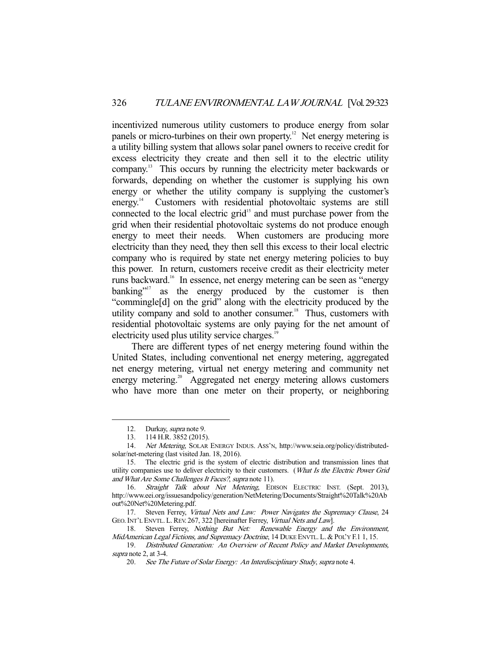incentivized numerous utility customers to produce energy from solar panels or micro-turbines on their own property.<sup>12</sup> Net energy metering is a utility billing system that allows solar panel owners to receive credit for excess electricity they create and then sell it to the electric utility company.13 This occurs by running the electricity meter backwards or forwards, depending on whether the customer is supplying his own energy or whether the utility company is supplying the customer's energy.<sup>14</sup> Customers with residential photovoltaic systems are still connected to the local electric grid<sup>15</sup> and must purchase power from the grid when their residential photovoltaic systems do not produce enough energy to meet their needs. When customers are producing more electricity than they need, they then sell this excess to their local electric company who is required by state net energy metering policies to buy this power. In return, customers receive credit as their electricity meter runs backward.16 In essence, net energy metering can be seen as "energy banking"<sup>17</sup> as the energy produced by the customer is then "commingle[d] on the grid" along with the electricity produced by the utility company and sold to another consumer.<sup>18</sup> Thus, customers with residential photovoltaic systems are only paying for the net amount of electricity used plus utility service charges.<sup>1</sup>

 There are different types of net energy metering found within the United States, including conventional net energy metering, aggregated net energy metering, virtual net energy metering and community net energy metering.<sup>20</sup> Aggregated net energy metering allows customers who have more than one meter on their property, or neighboring

 <sup>12.</sup> Durkay, supra note 9.

<sup>13. 114</sup> H.R. 3852 (2015).<br>14. Net Metering. SOLAR

Net Metering, SOLAR ENERGY INDUS. ASS'N, http://www.seia.org/policy/distributedsolar/net-metering (last visited Jan. 18, 2016).

 <sup>15.</sup> The electric grid is the system of electric distribution and transmission lines that utility companies use to deliver electricity to their customers. (What Is the Electric Power Grid and What Are Some Challenges It Faces?, supra note 11).

<sup>16.</sup> Straight Talk about Net Metering, EDISON ELECTRIC INST. (Sept. 2013), http://www.eei.org/issuesandpolicy/generation/NetMetering/Documents/Straight%20Talk%20Ab out%20Net%20Metering.pdf.

<sup>17.</sup> Steven Ferrey, Virtual Nets and Law: Power Navigates the Supremacy Clause, 24 GEO. INT'L ENVTL. L. REV. 267, 322 [hereinafter Ferrey, Virtual Nets and Law].

<sup>18.</sup> Steven Ferrey, *Nothing But Net:* Renewable Energy and the Environment, MidAmerican Legal Fictions, and Supremacy Doctrine, 14 DUKE ENVTL. L. & POL'Y F.1 1, 15.

 <sup>19.</sup> Distributed Generation: An Overview of Recent Policy and Market Developments, supra note 2, at 3-4.

<sup>20</sup>. See The Future of Solar Energy: An Interdisciplinary Study, supra note 4.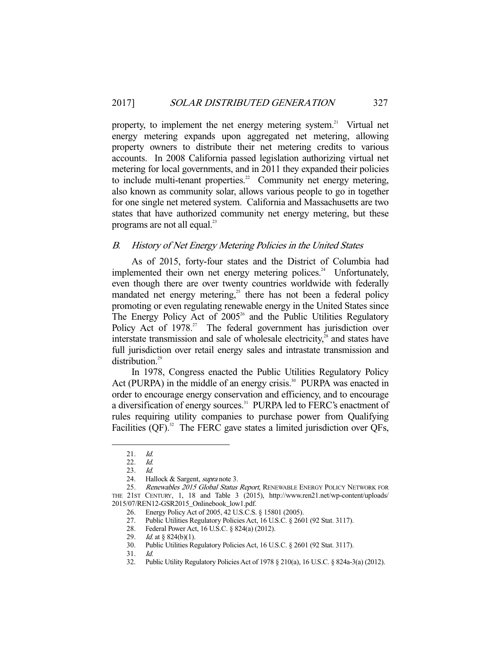property, to implement the net energy metering system.<sup>21</sup> Virtual net energy metering expands upon aggregated net metering, allowing property owners to distribute their net metering credits to various accounts. In 2008 California passed legislation authorizing virtual net metering for local governments, and in 2011 they expanded their policies to include multi-tenant properties.<sup>22</sup> Community net energy metering, also known as community solar, allows various people to go in together for one single net metered system. California and Massachusetts are two states that have authorized community net energy metering, but these programs are not all equal. $^{23}$ 

### B. History of Net Energy Metering Policies in the United States

 As of 2015, forty-four states and the District of Columbia had implemented their own net energy metering polices.<sup>24</sup> Unfortunately, even though there are over twenty countries worldwide with federally mandated net energy metering,<sup>25</sup> there has not been a federal policy promoting or even regulating renewable energy in the United States since The Energy Policy Act of  $2005<sup>26</sup>$  and the Public Utilities Regulatory Policy Act of 1978.<sup>27</sup> The federal government has jurisdiction over interstate transmission and sale of wholesale electricity, $^{28}$  and states have full jurisdiction over retail energy sales and intrastate transmission and distribution.<sup>29</sup>

 In 1978, Congress enacted the Public Utilities Regulatory Policy Act (PURPA) in the middle of an energy crisis.<sup>30</sup> PURPA was enacted in order to encourage energy conservation and efficiency, and to encourage a diversification of energy sources.<sup>31</sup> PURPA led to FERC's enactment of rules requiring utility companies to purchase power from Qualifying Facilities  $(QF)$ .<sup>32</sup> The FERC gave states a limited jurisdiction over QFs,

 <sup>21</sup>. Id.

<sup>22</sup>. Id.

<sup>23</sup>. Id.

<sup>24.</sup> Hallock & Sargent, *supra* note 3.

<sup>25.</sup> Renewables 2015 Global Status Report, RENEWABLE ENERGY POLICY NETWORK FOR THE 21ST CENTURY, 1, 18 and Table 3 (2015), http://www.ren21.net/wp-content/uploads/ 2015/07/REN12-GSR2015\_Onlinebook\_low1.pdf.

 <sup>26.</sup> Energy Policy Act of 2005, 42 U.S.C.S. § 15801 (2005).

 <sup>27.</sup> Public Utilities Regulatory Policies Act, 16 U.S.C. § 2601 (92 Stat. 3117).

 <sup>28.</sup> Federal Power Act, 16 U.S.C. § 824(a) (2012).

<sup>29.</sup> *Id.* at § 824(b)(1).

 <sup>30.</sup> Public Utilities Regulatory Policies Act, 16 U.S.C. § 2601 (92 Stat. 3117).

<sup>31</sup>. Id.

 <sup>32.</sup> Public Utility Regulatory Policies Act of 1978 § 210(a), 16 U.S.C. § 824a-3(a) (2012).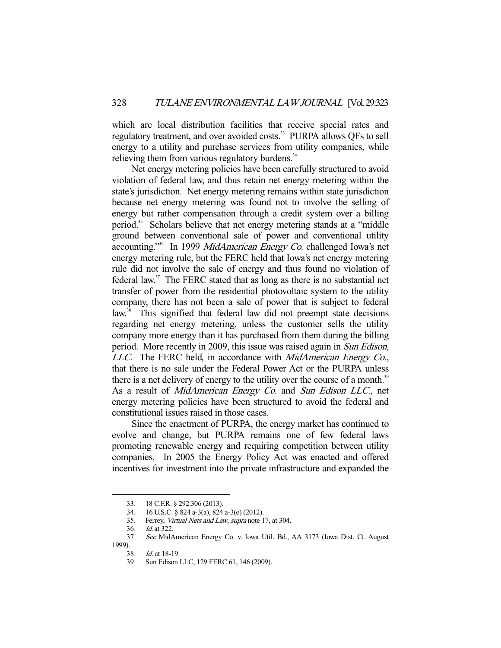which are local distribution facilities that receive special rates and regulatory treatment, and over avoided costs.<sup>33</sup> PURPA allows QFs to sell energy to a utility and purchase services from utility companies, while relieving them from various regulatory burdens.<sup>34</sup>

 Net energy metering policies have been carefully structured to avoid violation of federal law, and thus retain net energy metering within the state's jurisdiction. Net energy metering remains within state jurisdiction because net energy metering was found not to involve the selling of energy but rather compensation through a credit system over a billing period.35 Scholars believe that net energy metering stands at a "middle ground between conventional sale of power and conventional utility accounting."<sup>36</sup> In 1999 MidAmerican Energy Co. challenged Iowa's net energy metering rule, but the FERC held that Iowa's net energy metering rule did not involve the sale of energy and thus found no violation of federal law. $37$  The FERC stated that as long as there is no substantial net transfer of power from the residential photovoltaic system to the utility company, there has not been a sale of power that is subject to federal law.<sup>38</sup> This signified that federal law did not preempt state decisions regarding net energy metering, unless the customer sells the utility company more energy than it has purchased from them during the billing period. More recently in 2009, this issue was raised again in Sun Edison, LLC. The FERC held, in accordance with *MidAmerican Energy Co.*, that there is no sale under the Federal Power Act or the PURPA unless there is a net delivery of energy to the utility over the course of a month.<sup>39</sup> As a result of *MidAmerican Energy Co.* and *Sun Edison LLC*., net energy metering policies have been structured to avoid the federal and constitutional issues raised in those cases.

 Since the enactment of PURPA, the energy market has continued to evolve and change, but PURPA remains one of few federal laws promoting renewable energy and requiring competition between utility companies. In 2005 the Energy Policy Act was enacted and offered incentives for investment into the private infrastructure and expanded the

 <sup>33. 18</sup> C.F.R. § 292.306 (2013).

 <sup>34. 16</sup> U.S.C. § 824 a-3(a), 824 a-3(e) (2012).

 <sup>35.</sup> Ferrey, Virtual Nets and Law, supra note 17, at 304.

<sup>36</sup>. Id. at 322.

<sup>37</sup>. See MidAmerican Energy Co. v. Iowa Util. Bd., AA 3173 (Iowa Dist. Ct. August

 $\frac{1999}{38}$ .

*Id.* at 18-19.

<sup>39</sup>. Sun Edison LLC, 129 FERC 61, 146 (2009).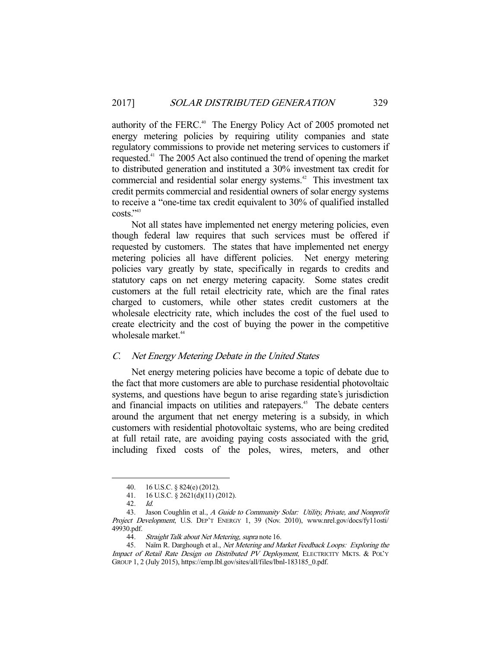authority of the FERC.<sup>40</sup> The Energy Policy Act of 2005 promoted net energy metering policies by requiring utility companies and state regulatory commissions to provide net metering services to customers if requested.41 The 2005 Act also continued the trend of opening the market to distributed generation and instituted a 30% investment tax credit for commercial and residential solar energy systems.<sup>42</sup> This investment tax credit permits commercial and residential owners of solar energy systems to receive a "one-time tax credit equivalent to 30% of qualified installed  $costs.$ <sup>"43</sup>

 Not all states have implemented net energy metering policies, even though federal law requires that such services must be offered if requested by customers. The states that have implemented net energy metering policies all have different policies. Net energy metering policies vary greatly by state, specifically in regards to credits and statutory caps on net energy metering capacity. Some states credit customers at the full retail electricity rate, which are the final rates charged to customers, while other states credit customers at the wholesale electricity rate, which includes the cost of the fuel used to create electricity and the cost of buying the power in the competitive wholesale market.<sup>44</sup>

### C. Net Energy Metering Debate in the United States

 Net energy metering policies have become a topic of debate due to the fact that more customers are able to purchase residential photovoltaic systems, and questions have begun to arise regarding state's jurisdiction and financial impacts on utilities and ratepayers.<sup>45</sup> The debate centers around the argument that net energy metering is a subsidy, in which customers with residential photovoltaic systems, who are being credited at full retail rate, are avoiding paying costs associated with the grid, including fixed costs of the poles, wires, meters, and other

 <sup>40. 16</sup> U.S.C. § 824(e) (2012).

 <sup>41. 16</sup> U.S.C. § 2621(d)(11) (2012).

<sup>42</sup>. Id.

<sup>43.</sup> Jason Coughlin et al., A Guide to Community Solar: Utility, Private, and Nonprofit Project Development, U.S. DEP'T ENERGY 1, 39 (Nov. 2010), www.nrel.gov/docs/fy11osti/ 49930.pdf.

<sup>44.</sup> Straight Talk about Net Metering, supra note 16.

 <sup>45.</sup> Naïm R. Darghough et al., Net Metering and Market Feedback Loops: Exploring the Impact of Retail Rate Design on Distributed PV Deployment, ELECTRICITY MKTS. & POL'Y GROUP 1, 2 (July 2015), https://emp.lbl.gov/sites/all/files/lbnl-183185\_0.pdf.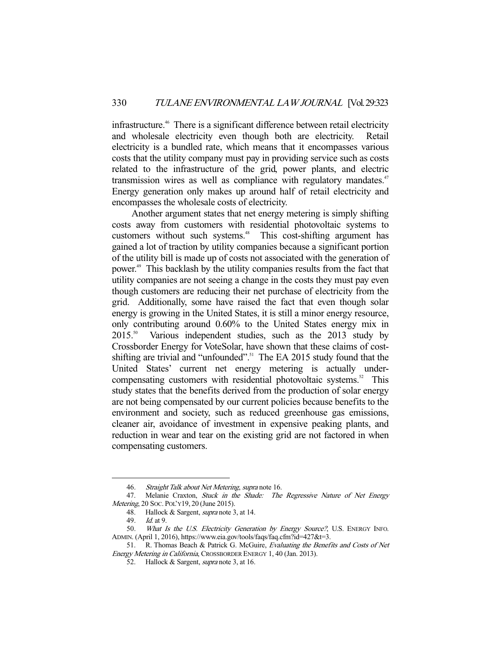infrastructure.46 There is a significant difference between retail electricity and wholesale electricity even though both are electricity. Retail electricity is a bundled rate, which means that it encompasses various costs that the utility company must pay in providing service such as costs related to the infrastructure of the grid, power plants, and electric transmission wires as well as compliance with regulatory mandates. $47$ Energy generation only makes up around half of retail electricity and encompasses the wholesale costs of electricity.

 Another argument states that net energy metering is simply shifting costs away from customers with residential photovoltaic systems to customers without such systems.<sup>48</sup> This cost-shifting argument has gained a lot of traction by utility companies because a significant portion of the utility bill is made up of costs not associated with the generation of power.49 This backlash by the utility companies results from the fact that utility companies are not seeing a change in the costs they must pay even though customers are reducing their net purchase of electricity from the grid. Additionally, some have raised the fact that even though solar energy is growing in the United States, it is still a minor energy resource, only contributing around 0.60% to the United States energy mix in 2015.<sup>50</sup> Various independent studies, such as the 2013 study by Various independent studies, such as the 2013 study by Crossborder Energy for VoteSolar, have shown that these claims of costshifting are trivial and "unfounded".<sup>51</sup> The EA 2015 study found that the United States' current net energy metering is actually undercompensating customers with residential photovoltaic systems.<sup>52</sup> This study states that the benefits derived from the production of solar energy are not being compensated by our current policies because benefits to the environment and society, such as reduced greenhouse gas emissions, cleaner air, avoidance of investment in expensive peaking plants, and reduction in wear and tear on the existing grid are not factored in when compensating customers.

<sup>46.</sup> Straight Talk about Net Metering, supra note 16.

<sup>47.</sup> Melanie Craxton, Stuck in the Shade: The Regressive Nature of Net Energy Metering, 20 SOC. POL'Y19, 20 (June 2015).

<sup>48.</sup> Hallock & Sargent, *supra* note 3, at 14.

<sup>49</sup>. Id. at 9.

<sup>50</sup>. What Is the U.S. Electricity Generation by Energy Source?, U.S. ENERGY INFO. ADMIN. (April 1, 2016), https://www.eia.gov/tools/faqs/faq.cfm?id=427&t=3.

 <sup>51.</sup> R. Thomas Beach & Patrick G. McGuire, Evaluating the Benefits and Costs of Net Energy Metering in California, CROSSBORDER ENERGY 1, 40 (Jan. 2013).

<sup>52.</sup> Hallock & Sargent, *supra* note 3, at 16.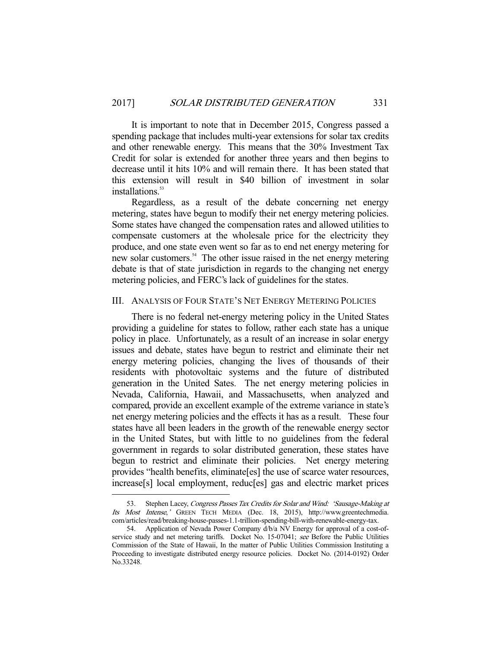It is important to note that in December 2015, Congress passed a spending package that includes multi-year extensions for solar tax credits and other renewable energy. This means that the 30% Investment Tax Credit for solar is extended for another three years and then begins to decrease until it hits 10% and will remain there. It has been stated that this extension will result in \$40 billion of investment in solar installations.<sup>53</sup>

 Regardless, as a result of the debate concerning net energy metering, states have begun to modify their net energy metering policies. Some states have changed the compensation rates and allowed utilities to compensate customers at the wholesale price for the electricity they produce, and one state even went so far as to end net energy metering for new solar customers.<sup>54</sup> The other issue raised in the net energy metering debate is that of state jurisdiction in regards to the changing net energy metering policies, and FERC's lack of guidelines for the states.

#### III. ANALYSIS OF FOUR STATE'S NET ENERGY METERING POLICIES

 There is no federal net-energy metering policy in the United States providing a guideline for states to follow, rather each state has a unique policy in place. Unfortunately, as a result of an increase in solar energy issues and debate, states have begun to restrict and eliminate their net energy metering policies, changing the lives of thousands of their residents with photovoltaic systems and the future of distributed generation in the United Sates. The net energy metering policies in Nevada, California, Hawaii, and Massachusetts, when analyzed and compared, provide an excellent example of the extreme variance in state's net energy metering policies and the effects it has as a result. These four states have all been leaders in the growth of the renewable energy sector in the United States, but with little to no guidelines from the federal government in regards to solar distributed generation, these states have begun to restrict and eliminate their policies. Net energy metering provides "health benefits, eliminate[es] the use of scarce water resources, increase[s] local employment, reduc[es] gas and electric market prices

<sup>53.</sup> Stephen Lacey, Congress Passes Tax Credits for Solar and Wind: 'Sausage-Making at Its Most Intense,' GREEN TECH MEDIA (Dec. 18, 2015), http://www.greentechmedia. com/articles/read/breaking-house-passes-1.1-trillion-spending-bill-with-renewable-energy-tax.

 <sup>54.</sup> Application of Nevada Power Company d/b/a NV Energy for approval of a cost-ofservice study and net metering tariffs. Docket No. 15-07041; see Before the Public Utilities Commission of the State of Hawaii, In the matter of Public Utilities Commission Instituting a Proceeding to investigate distributed energy resource policies. Docket No. (2014-0192) Order No.33248.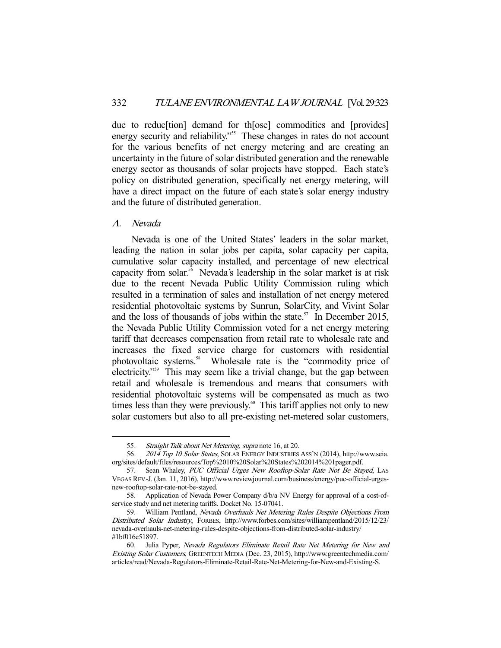due to reduc[tion] demand for th[ose] commodities and [provides] energy security and reliability."<sup>55</sup> These changes in rates do not account for the various benefits of net energy metering and are creating an uncertainty in the future of solar distributed generation and the renewable energy sector as thousands of solar projects have stopped. Each state's policy on distributed generation, specifically net energy metering, will have a direct impact on the future of each state's solar energy industry and the future of distributed generation.

A. Nevada

 Nevada is one of the United States' leaders in the solar market, leading the nation in solar jobs per capita, solar capacity per capita, cumulative solar capacity installed, and percentage of new electrical capacity from solar.<sup>56</sup> Nevada's leadership in the solar market is at risk due to the recent Nevada Public Utility Commission ruling which resulted in a termination of sales and installation of net energy metered residential photovoltaic systems by Sunrun, SolarCity, and Vivint Solar and the loss of thousands of jobs within the state.<sup>57</sup> In December 2015, the Nevada Public Utility Commission voted for a net energy metering tariff that decreases compensation from retail rate to wholesale rate and increases the fixed service charge for customers with residential photovoltaic systems.<sup>58</sup> Wholesale rate is the "commodity price of electricity."59 This may seem like a trivial change, but the gap between retail and wholesale is tremendous and means that consumers with residential photovoltaic systems will be compensated as much as two times less than they were previously.<sup>60</sup> This tariff applies not only to new solar customers but also to all pre-existing net-metered solar customers,

<sup>55.</sup> Straight Talk about Net Metering, supra note 16, at 20.

<sup>56. 2014</sup> Top 10 Solar States, SOLAR ENERGY INDUSTRIES ASS'N (2014), http://www.seia. org/sites/default/files/resources/Top%2010%20Solar%20States%202014%201pager.pdf.

<sup>57.</sup> Sean Whaley, PUC Official Urges New Rooftop-Solar Rate Not Be Stayed, LAS VEGAS REV.-J. (Jan. 11, 2016), http://www.reviewjournal.com/business/energy/puc-official-urgesnew-rooftop-solar-rate-not-be-stayed.

 <sup>58.</sup> Application of Nevada Power Company d/b/a NV Energy for approval of a cost-ofservice study and net metering tariffs. Docket No. 15-07041.

 <sup>59.</sup> William Pentland, Nevada Overhauls Net Metering Rules Despite Objections From Distributed Solar Industry, FORBES, http://www.forbes.com/sites/williampentland/2015/12/23/ nevada-overhauls-net-metering-rules-despite-objections-from-distributed-solar-industry/ #1bf016e51897.

 <sup>60.</sup> Julia Pyper, Nevada Regulators Eliminate Retail Rate Net Metering for New and Existing Solar Customers, GREENTECH MEDIA (Dec. 23, 2015), http://www.greentechmedia.com/ articles/read/Nevada-Regulators-Eliminate-Retail-Rate-Net-Metering-for-New-and-Existing-S.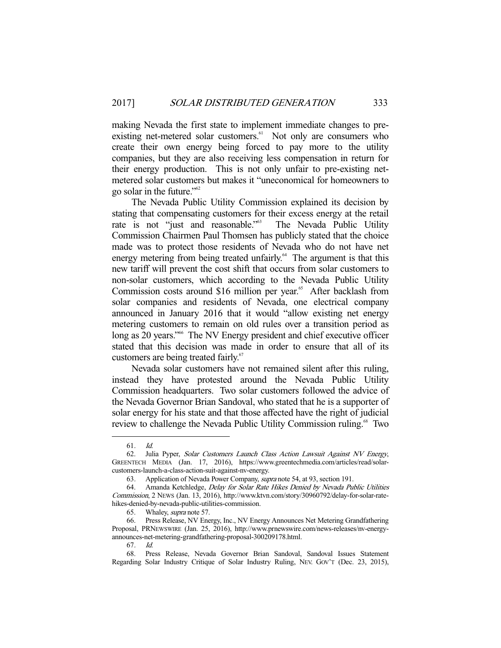making Nevada the first state to implement immediate changes to preexisting net-metered solar customers.<sup>61</sup> Not only are consumers who create their own energy being forced to pay more to the utility companies, but they are also receiving less compensation in return for their energy production. This is not only unfair to pre-existing netmetered solar customers but makes it "uneconomical for homeowners to go solar in the future."62

 The Nevada Public Utility Commission explained its decision by stating that compensating customers for their excess energy at the retail rate is not "just and reasonable."<sup>63</sup> The Nevada Public Utility Commission Chairmen Paul Thomsen has publicly stated that the choice made was to protect those residents of Nevada who do not have net energy metering from being treated unfairly.<sup> $64$ </sup> The argument is that this new tariff will prevent the cost shift that occurs from solar customers to non-solar customers, which according to the Nevada Public Utility Commission costs around \$16 million per year.<sup>65</sup> After backlash from solar companies and residents of Nevada, one electrical company announced in January 2016 that it would "allow existing net energy metering customers to remain on old rules over a transition period as long as 20 years."<sup>66</sup> The NV Energy president and chief executive officer stated that this decision was made in order to ensure that all of its customers are being treated fairly.<sup>67</sup>

 Nevada solar customers have not remained silent after this ruling, instead they have protested around the Nevada Public Utility Commission headquarters. Two solar customers followed the advice of the Nevada Governor Brian Sandoval, who stated that he is a supporter of solar energy for his state and that those affected have the right of judicial review to challenge the Nevada Public Utility Commission ruling.<sup>68</sup> Two

 $61.$  Id.

 <sup>62.</sup> Julia Pyper, Solar Customers Launch Class Action Lawsuit Against NV Energy, GREENTECH MEDIA (Jan. 17, 2016), https://www.greentechmedia.com/articles/read/solarcustomers-launch-a-class-action-suit-against-nv-energy.

<sup>63.</sup> Application of Nevada Power Company, supra note 54, at 93, section 191.

<sup>64.</sup> Amanda Ketchledge, *Delay for Solar Rate Hikes Denied by Nevada Public Utilities* Commission, 2 NEWS (Jan. 13, 2016), http://www.ktvn.com/story/30960792/delay-for-solar-ratehikes-denied-by-nevada-public-utilities-commission.

 <sup>65.</sup> Whaley, supra note 57.

 <sup>66.</sup> Press Release, NV Energy, Inc., NV Energy Announces Net Metering Grandfathering Proposal, PRNEWSWIRE (Jan. 25, 2016), http://www.prnewswire.com/news-releases/nv-energyannounces-net-metering-grandfathering-proposal-300209178.html.

<sup>67</sup>. Id.

 <sup>68.</sup> Press Release, Nevada Governor Brian Sandoval, Sandoval Issues Statement Regarding Solar Industry Critique of Solar Industry Ruling, NEV. GOV'T (Dec. 23, 2015),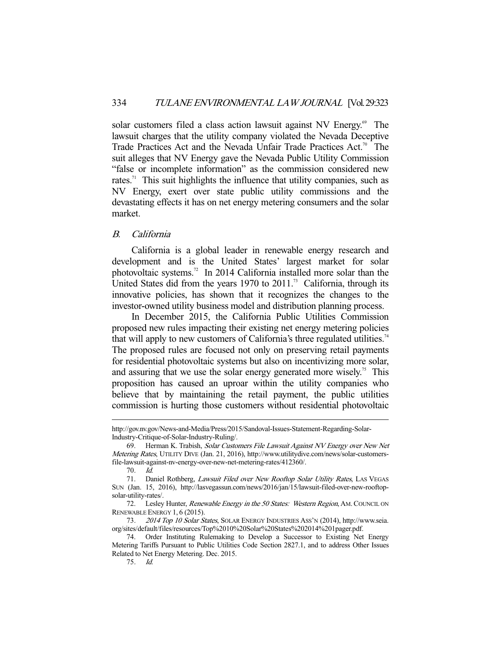solar customers filed a class action lawsuit against NV Energy.<sup>69</sup> The lawsuit charges that the utility company violated the Nevada Deceptive Trade Practices Act and the Nevada Unfair Trade Practices Act.<sup>70</sup> The suit alleges that NV Energy gave the Nevada Public Utility Commission "false or incomplete information" as the commission considered new rates.<sup>71</sup> This suit highlights the influence that utility companies, such as NV Energy, exert over state public utility commissions and the devastating effects it has on net energy metering consumers and the solar market.

#### B. California

 California is a global leader in renewable energy research and development and is the United States' largest market for solar photovoltaic systems.72 In 2014 California installed more solar than the United States did from the years  $1970$  to  $2011$ .<sup>73</sup> California, through its innovative policies, has shown that it recognizes the changes to the investor-owned utility business model and distribution planning process.

 In December 2015, the California Public Utilities Commission proposed new rules impacting their existing net energy metering policies that will apply to new customers of California's three regulated utilities.<sup>74</sup> The proposed rules are focused not only on preserving retail payments for residential photovoltaic systems but also on incentivizing more solar, and assuring that we use the solar energy generated more wisely.<sup>75</sup> This proposition has caused an uproar within the utility companies who believe that by maintaining the retail payment, the public utilities commission is hurting those customers without residential photovoltaic

70. Id.

http://gov.nv.gov/News-and-Media/Press/2015/Sandoval-Issues-Statement-Regarding-Solar-Industry-Critique-of-Solar-Industry-Ruling/.

 <sup>69.</sup> Herman K. Trabish, Solar Customers File Lawsuit Against NV Energy over New Net Metering Rates, UTILITY DIVE (Jan. 21, 2016), http://www.utilitydive.com/news/solar-customersfile-lawsuit-against-nv-energy-over-new-net-metering-rates/412360/.

<sup>71.</sup> Daniel Rothberg, *Lawsuit Filed over New Rooftop Solar Utility Rates*, LAS VEGAS SUN (Jan. 15, 2016), http://lasvegassun.com/news/2016/jan/15/lawsuit-filed-over-new-rooftopsolar-utility-rates/.

<sup>72.</sup> Lesley Hunter, Renewable Energy in the 50 States: Western Region, AM. COUNCIL ON RENEWABLE ENERGY 1, 6 (2015).

<sup>73</sup>. 2014 Top 10 Solar States, SOLAR ENERGY INDUSTRIES ASS'N (2014), http://www.seia. org/sites/default/files/resources/Top%2010%20Solar%20States%202014%201pager.pdf.

 <sup>74.</sup> Order Instituting Rulemaking to Develop a Successor to Existing Net Energy Metering Tariffs Pursuant to Public Utilities Code Section 2827.1, and to address Other Issues Related to Net Energy Metering. Dec. 2015.

<sup>75</sup>. Id.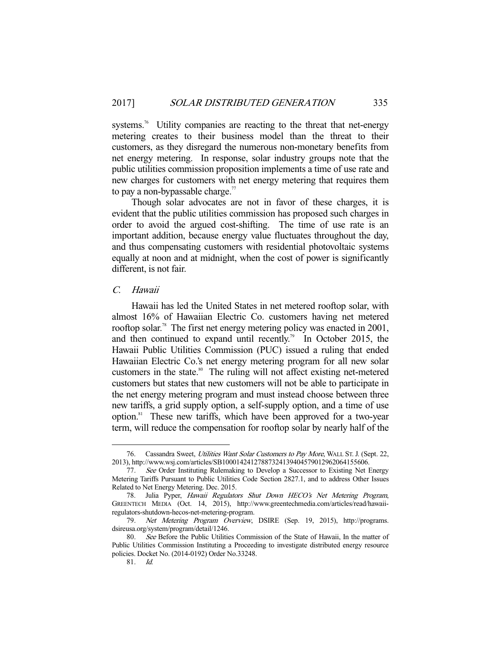systems.<sup>76</sup> Utility companies are reacting to the threat that net-energy metering creates to their business model than the threat to their customers, as they disregard the numerous non-monetary benefits from net energy metering. In response, solar industry groups note that the public utilities commission proposition implements a time of use rate and new charges for customers with net energy metering that requires them to pay a non-bypassable charge.<sup>77</sup>

 Though solar advocates are not in favor of these charges, it is evident that the public utilities commission has proposed such charges in order to avoid the argued cost-shifting. The time of use rate is an important addition, because energy value fluctuates throughout the day, and thus compensating customers with residential photovoltaic systems equally at noon and at midnight, when the cost of power is significantly different, is not fair.

#### C. Hawaii

 Hawaii has led the United States in net metered rooftop solar, with almost 16% of Hawaiian Electric Co. customers having net metered rooftop solar.<sup>78</sup> The first net energy metering policy was enacted in 2001, and then continued to expand until recently.<sup>79</sup> In October 2015, the Hawaii Public Utilities Commission (PUC) issued a ruling that ended Hawaiian Electric Co.'s net energy metering program for all new solar customers in the state.<sup>80</sup> The ruling will not affect existing net-metered customers but states that new customers will not be able to participate in the net energy metering program and must instead choose between three new tariffs, a grid supply option, a self-supply option, and a time of use option.81 These new tariffs, which have been approved for a two-year term, will reduce the compensation for rooftop solar by nearly half of the

<sup>76.</sup> Cassandra Sweet, Utilities Want Solar Customers to Pay More, WALL ST. J. (Sept. 22, 2013), http://www.wsj.com/articles/SB10001424127887324139404579012962064155606.

<sup>77</sup>. See Order Instituting Rulemaking to Develop a Successor to Existing Net Energy Metering Tariffs Pursuant to Public Utilities Code Section 2827.1, and to address Other Issues Related to Net Energy Metering. Dec. 2015.

<sup>78.</sup> Julia Pyper, Hawaii Regulators Shut Down HECO's Net Metering Program, GREENTECH MEDIA (Oct. 14, 2015), http://www.greentechmedia.com/articles/read/hawaiiregulators-shutdown-hecos-net-metering-program.

<sup>79</sup>. Net Metering Program Overview, DSIRE (Sep. 19, 2015), http://programs. dsireusa.org/system/program/detail/1246.

<sup>80.</sup> See Before the Public Utilities Commission of the State of Hawaii, In the matter of Public Utilities Commission Instituting a Proceeding to investigate distributed energy resource policies. Docket No. (2014-0192) Order No.33248.

<sup>81</sup>. Id.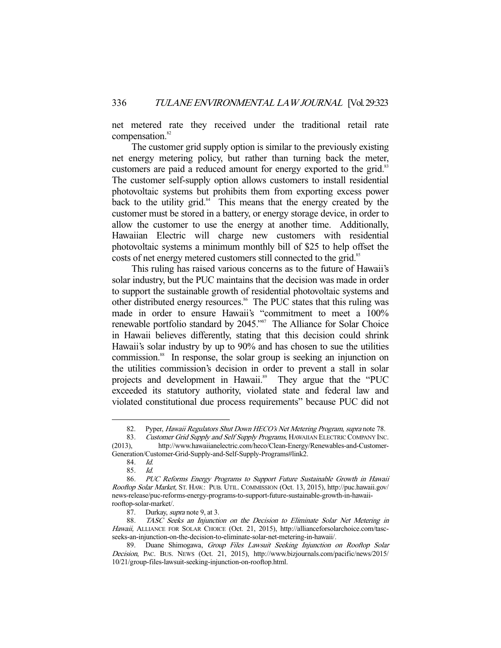net metered rate they received under the traditional retail rate compensation.<sup>82</sup>

 The customer grid supply option is similar to the previously existing net energy metering policy, but rather than turning back the meter, customers are paid a reduced amount for energy exported to the grid.<sup>83</sup> The customer self-supply option allows customers to install residential photovoltaic systems but prohibits them from exporting excess power back to the utility grid. $84$  This means that the energy created by the customer must be stored in a battery, or energy storage device, in order to allow the customer to use the energy at another time. Additionally, Hawaiian Electric will charge new customers with residential photovoltaic systems a minimum monthly bill of \$25 to help offset the costs of net energy metered customers still connected to the grid.<sup>85</sup>

 This ruling has raised various concerns as to the future of Hawaii's solar industry, but the PUC maintains that the decision was made in order to support the sustainable growth of residential photovoltaic systems and other distributed energy resources.<sup>86</sup> The PUC states that this ruling was made in order to ensure Hawaii's "commitment to meet a 100% renewable portfolio standard by 2045."<sup>87</sup> The Alliance for Solar Choice in Hawaii believes differently, stating that this decision could shrink Hawaii's solar industry by up to 90% and has chosen to sue the utilities commission.<sup>88</sup> In response, the solar group is seeking an injunction on the utilities commission's decision in order to prevent a stall in solar projects and development in Hawaii.<sup>89</sup> They argue that the "PUC exceeded its statutory authority, violated state and federal law and violated constitutional due process requirements" because PUC did not

<sup>82.</sup> Pyper, Hawaii Regulators Shut Down HECO's Net Metering Program, supra note 78.

<sup>83.</sup> Customer Grid Supply and Self Supply Programs, HAWAIIAN ELECTRIC COMPANY INC. (2013), http://www.hawaiianelectric.com/heco/Clean-Energy/Renewables-and-Customer-Generation/Customer-Grid-Supply-and-Self-Supply-Programs#link2.

<sup>84</sup>. Id.

<sup>85</sup>. Id.

<sup>86</sup>. PUC Reforms Energy Programs to Support Future Sustainable Growth in Hawaii Rooftop Solar Market, ST. HAW.: PUB. UTIL. COMMISSION (Oct. 13, 2015), http://puc.hawaii.gov/ news-release/puc-reforms-energy-programs-to-support-future-sustainable-growth-in-hawaiirooftop-solar-market/.

<sup>87.</sup> Durkay, *supra* note 9, at 3.

<sup>88</sup>. TASC Seeks an Injunction on the Decision to Eliminate Solar Net Metering in Hawaii, ALLIANCE FOR SOLAR CHOICE (Oct. 21, 2015), http://allianceforsolarchoice.com/tascseeks-an-injunction-on-the-decision-to-eliminate-solar-net-metering-in-hawaii/.

 <sup>89.</sup> Duane Shimogawa, Group Files Lawsuit Seeking Injunction on Rooftop Solar Decision, PAC. BUS. NEWS (Oct. 21, 2015), http://www.bizjournals.com/pacific/news/2015/ 10/21/group-files-lawsuit-seeking-injunction-on-rooftop.html.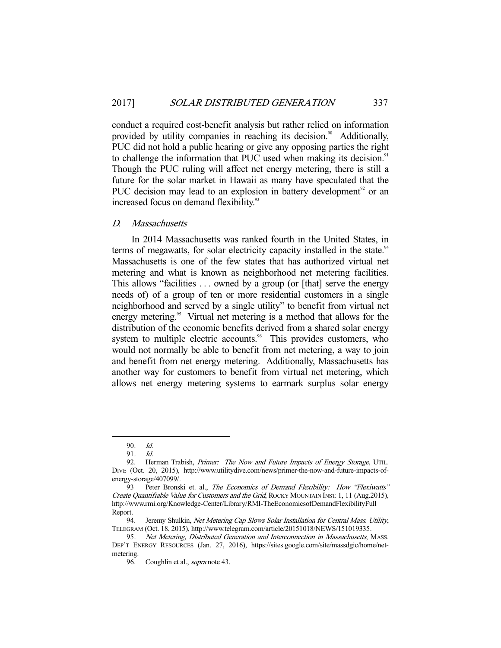conduct a required cost-benefit analysis but rather relied on information provided by utility companies in reaching its decision.<sup>90</sup> Additionally, PUC did not hold a public hearing or give any opposing parties the right to challenge the information that PUC used when making its decision.<sup>91</sup> Though the PUC ruling will affect net energy metering, there is still a future for the solar market in Hawaii as many have speculated that the PUC decision may lead to an explosion in battery development<sup>92</sup> or an increased focus on demand flexibility.<sup>93</sup>

#### D. Massachusetts

 In 2014 Massachusetts was ranked fourth in the United States, in terms of megawatts, for solar electricity capacity installed in the state.<sup>94</sup> Massachusetts is one of the few states that has authorized virtual net metering and what is known as neighborhood net metering facilities. This allows "facilities . . . owned by a group (or [that] serve the energy needs of) of a group of ten or more residential customers in a single neighborhood and served by a single utility" to benefit from virtual net energy metering.<sup>95</sup> Virtual net metering is a method that allows for the distribution of the economic benefits derived from a shared solar energy system to multiple electric accounts.<sup>96</sup> This provides customers, who would not normally be able to benefit from net metering, a way to join and benefit from net energy metering. Additionally, Massachusetts has another way for customers to benefit from virtual net metering, which allows net energy metering systems to earmark surplus solar energy

<sup>90.</sup> *Id.*<br>91. *Id.* 

<sup>91.</sup> 

<sup>92.</sup> Herman Trabish, Primer: The Now and Future Impacts of Energy Storage, UTIL. DIVE (Oct. 20, 2015), http://www.utilitydive.com/news/primer-the-now-and-future-impacts-ofenergy-storage/407099/.

<sup>93</sup> Peter Bronski et. al., The Economics of Demand Flexibility: How "Flexiwatts" Create Quantifiable Value for Customers and the Grid, ROCKY MOUNTAIN INST. 1, 11 (Aug.2015), http://www.rmi.org/Knowledge-Center/Library/RMI-TheEconomicsofDemandFlexibilityFull Report.

<sup>94.</sup> Jeremy Shulkin, Net Metering Cap Slows Solar Installation for Central Mass. Utility, TELEGRAM (Oct. 18, 2015), http://www.telegram.com/article/20151018/NEWS/151019335.

<sup>95</sup>. Net Metering, Distributed Generation and Interconnection in Massachusetts, MASS. DEP'T ENERGY RESOURCES (Jan. 27, 2016), https://sites.google.com/site/massdgic/home/netmetering.<br>96.

Coughlin et al., supra note 43.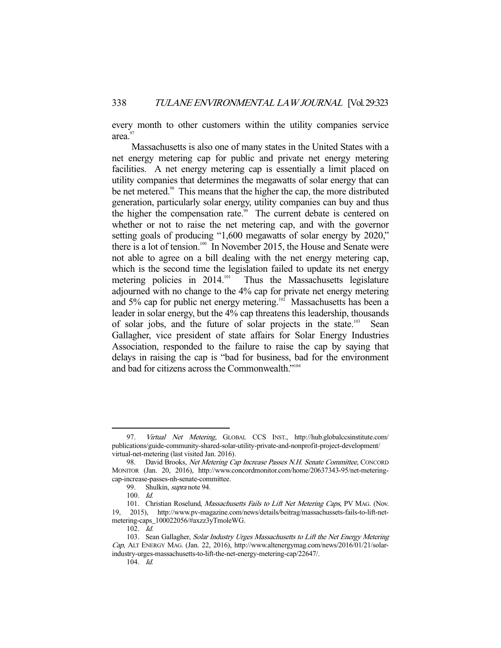every month to other customers within the utility companies service area.<sup>97</sup>

 Massachusetts is also one of many states in the United States with a net energy metering cap for public and private net energy metering facilities. A net energy metering cap is essentially a limit placed on utility companies that determines the megawatts of solar energy that can be net metered.<sup>98</sup> This means that the higher the cap, the more distributed generation, particularly solar energy, utility companies can buy and thus the higher the compensation rate.<sup>99</sup> The current debate is centered on whether or not to raise the net metering cap, and with the governor setting goals of producing "1,600 megawatts of solar energy by 2020," there is a lot of tension.<sup>100</sup> In November 2015, the House and Senate were not able to agree on a bill dealing with the net energy metering cap, which is the second time the legislation failed to update its net energy metering policies in  $2014$ <sup>101</sup> Thus the Massachusetts legislature Thus the Massachusetts legislature adjourned with no change to the 4% cap for private net energy metering and 5% cap for public net energy metering.<sup>102</sup> Massachusetts has been a leader in solar energy, but the 4% cap threatens this leadership, thousands of solar jobs, and the future of solar projects in the state.<sup>103</sup> Sean Gallagher, vice president of state affairs for Solar Energy Industries Association, responded to the failure to raise the cap by saying that delays in raising the cap is "bad for business, bad for the environment and bad for citizens across the Commonwealth."104

<sup>97.</sup> Virtual Net Metering, GLOBAL CCS INST., http://hub.globalccsinstitute.com/ publications/guide-community-shared-solar-utility-private-and-nonprofit-project-development/ virtual-net-metering (last visited Jan. 2016).

<sup>98.</sup> David Brooks, Net Metering Cap Increase Passes N.H. Senate Committee, CONCORD MONITOR (Jan. 20, 2016), http://www.concordmonitor.com/home/20637343-95/net-meteringcap-increase-passes-nh-senate-committee.

<sup>99.</sup> Shulkin, *supra* note 94.

 $100.$  *Id.* 

<sup>101.</sup> Christian Roselund, Massachusetts Fails to Lift Net Metering Caps, PV MAG. (Nov. 19, 2015), http://www.pv-magazine.com/news/details/beitrag/massachussets-fails-to-lift-netmetering-caps\_100022056/#axzz3yTmoleWG.

<sup>102</sup>. Id.

<sup>103.</sup> Sean Gallagher, Solar Industry Urges Massachusetts to Lift the Net Energy Metering Cap, ALT ENERGY MAG. (Jan. 22, 2016), http://www.altenergymag.com/news/2016/01/21/solarindustry-urges-massachusetts-to-lift-the-net-energy-metering-cap/22647/.

<sup>104</sup>. Id.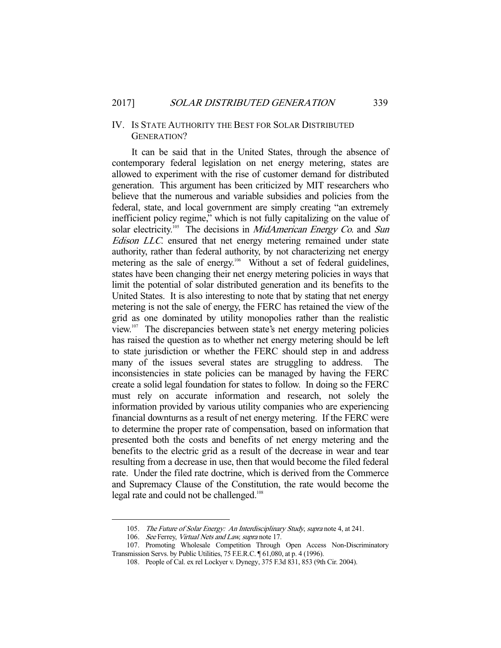#### IV. IS STATE AUTHORITY THE BEST FOR SOLAR DISTRIBUTED GENERATION?

 It can be said that in the United States, through the absence of contemporary federal legislation on net energy metering, states are allowed to experiment with the rise of customer demand for distributed generation. This argument has been criticized by MIT researchers who believe that the numerous and variable subsidies and policies from the federal, state, and local government are simply creating "an extremely inefficient policy regime," which is not fully capitalizing on the value of solar electricity.<sup>105</sup> The decisions in *MidAmerican Energy Co.* and Sun Edison LLC. ensured that net energy metering remained under state authority, rather than federal authority, by not characterizing net energy metering as the sale of energy.<sup>106</sup> Without a set of federal guidelines, states have been changing their net energy metering policies in ways that limit the potential of solar distributed generation and its benefits to the United States. It is also interesting to note that by stating that net energy metering is not the sale of energy, the FERC has retained the view of the grid as one dominated by utility monopolies rather than the realistic view.107 The discrepancies between state's net energy metering policies has raised the question as to whether net energy metering should be left to state jurisdiction or whether the FERC should step in and address many of the issues several states are struggling to address. The inconsistencies in state policies can be managed by having the FERC create a solid legal foundation for states to follow. In doing so the FERC must rely on accurate information and research, not solely the information provided by various utility companies who are experiencing financial downturns as a result of net energy metering. If the FERC were to determine the proper rate of compensation, based on information that presented both the costs and benefits of net energy metering and the benefits to the electric grid as a result of the decrease in wear and tear resulting from a decrease in use, then that would become the filed federal rate. Under the filed rate doctrine, which is derived from the Commerce and Supremacy Clause of the Constitution, the rate would become the legal rate and could not be challenged.<sup>108</sup>

<sup>105.</sup> The Future of Solar Energy: An Interdisciplinary Study, supra note 4, at 241.

<sup>106.</sup> See Ferrey, Virtual Nets and Law, supra note 17.

 <sup>107.</sup> Promoting Wholesale Competition Through Open Access Non-Discriminatory Transmission Servs. by Public Utilities, 75 F.E.R.C. ¶ 61,080, at p. 4 (1996).

<sup>108</sup>. People of Cal. ex rel Lockyer v. Dynegy, 375 F.3d 831, 853 (9th Cir. 2004).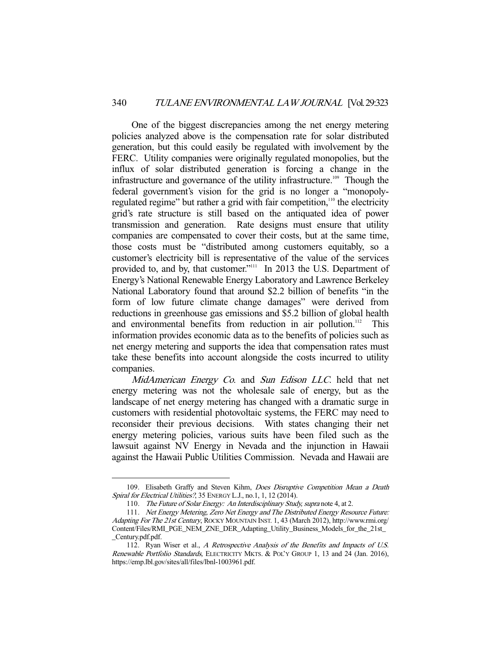One of the biggest discrepancies among the net energy metering policies analyzed above is the compensation rate for solar distributed generation, but this could easily be regulated with involvement by the FERC. Utility companies were originally regulated monopolies, but the influx of solar distributed generation is forcing a change in the infrastructure and governance of the utility infrastructure.<sup>109</sup> Though the federal government's vision for the grid is no longer a "monopolyregulated regime" but rather a grid with fair competition,<sup>110</sup> the electricity grid's rate structure is still based on the antiquated idea of power transmission and generation. Rate designs must ensure that utility companies are compensated to cover their costs, but at the same time, those costs must be "distributed among customers equitably, so a customer's electricity bill is representative of the value of the services provided to, and by, that customer."<sup>111</sup> In 2013 the U.S. Department of Energy's National Renewable Energy Laboratory and Lawrence Berkeley National Laboratory found that around \$2.2 billion of benefits "in the form of low future climate change damages" were derived from reductions in greenhouse gas emissions and \$5.2 billion of global health and environmental benefits from reduction in air pollution.<sup>112</sup> This information provides economic data as to the benefits of policies such as net energy metering and supports the idea that compensation rates must take these benefits into account alongside the costs incurred to utility companies.

MidAmerican Energy Co. and Sun Edison LLC. held that net energy metering was not the wholesale sale of energy, but as the landscape of net energy metering has changed with a dramatic surge in customers with residential photovoltaic systems, the FERC may need to reconsider their previous decisions. With states changing their net energy metering policies, various suits have been filed such as the lawsuit against NV Energy in Nevada and the injunction in Hawaii against the Hawaii Public Utilities Commission. Nevada and Hawaii are

<sup>109.</sup> Elisabeth Graffy and Steven Kihm, *Does Disruptive Competition Mean a Death* Spiral for Electrical Utilities?, 35 ENERGY L.J., no.1, 1, 12 (2014).

<sup>110.</sup> The Future of Solar Energy: An Interdisciplinary Study, supra note 4, at 2.

<sup>111</sup>. Net Energy Metering, Zero Net Energy and The Distributed Energy Resource Future: Adapting For The 21st Century, ROCKY MOUNTAIN INST. 1, 43 (March 2012), http://www.rmi.org/ Content/Files/RMI\_PGE\_NEM\_ZNE\_DER\_Adapting\_Utility\_Business\_Models\_for\_the\_21st\_ \_Century.pdf.pdf.

 <sup>112.</sup> Ryan Wiser et al., A Retrospective Analysis of the Benefits and Impacts of U.S. Renewable Portfolio Standards, ELECTRICITY MKTS. & POL'Y GROUP 1, 13 and 24 (Jan. 2016), https://emp.lbl.gov/sites/all/files/lbnl-1003961.pdf.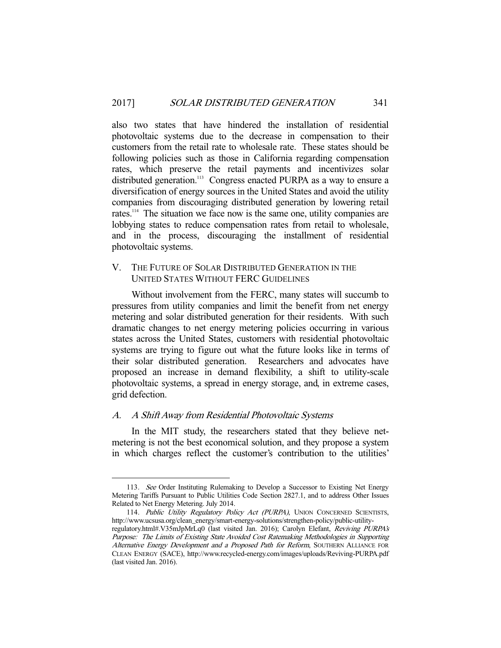also two states that have hindered the installation of residential photovoltaic systems due to the decrease in compensation to their customers from the retail rate to wholesale rate. These states should be following policies such as those in California regarding compensation rates, which preserve the retail payments and incentivizes solar distributed generation.<sup>113</sup> Congress enacted PURPA as a way to ensure a diversification of energy sources in the United States and avoid the utility companies from discouraging distributed generation by lowering retail rates.<sup>114</sup> The situation we face now is the same one, utility companies are lobbying states to reduce compensation rates from retail to wholesale, and in the process, discouraging the installment of residential photovoltaic systems.

## V. THE FUTURE OF SOLAR DISTRIBUTED GENERATION IN THE UNITED STATES WITHOUT FERC GUIDELINES

 Without involvement from the FERC, many states will succumb to pressures from utility companies and limit the benefit from net energy metering and solar distributed generation for their residents. With such dramatic changes to net energy metering policies occurring in various states across the United States, customers with residential photovoltaic systems are trying to figure out what the future looks like in terms of their solar distributed generation. Researchers and advocates have proposed an increase in demand flexibility, a shift to utility-scale photovoltaic systems, a spread in energy storage, and, in extreme cases, grid defection.

# A. A Shift Away from Residential Photovoltaic Systems

 In the MIT study, the researchers stated that they believe netmetering is not the best economical solution, and they propose a system in which charges reflect the customer's contribution to the utilities'

 <sup>113</sup>. See Order Instituting Rulemaking to Develop a Successor to Existing Net Energy Metering Tariffs Pursuant to Public Utilities Code Section 2827.1, and to address Other Issues Related to Net Energy Metering. July 2014.

<sup>114.</sup> Public Utility Regulatory Policy Act (PURPA), UNION CONCERNED SCIENTISTS, http://www.ucsusa.org/clean\_energy/smart-energy-solutions/strengthen-policy/public-utilityregulatory.html#.V35mJpMrLq0 (last visited Jan. 2016); Carolyn Elefant, Reviving PURPA's

Purpose: The Limits of Existing State Avoided Cost Ratemaking Methodologies in Supporting Alternative Energy Development and a Proposed Path for Reform, SOUTHERN ALLIANCE FOR CLEAN ENERGY (SACE), http://www.recycled-energy.com/images/uploads/Reviving-PURPA.pdf (last visited Jan. 2016).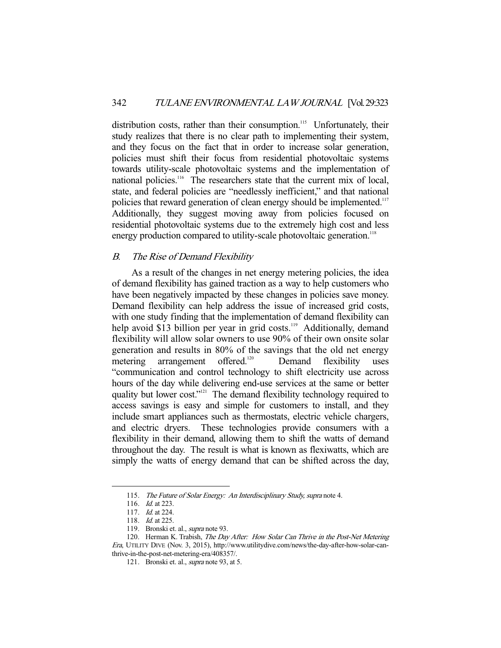distribution costs, rather than their consumption.<sup>115</sup> Unfortunately, their study realizes that there is no clear path to implementing their system, and they focus on the fact that in order to increase solar generation, policies must shift their focus from residential photovoltaic systems towards utility-scale photovoltaic systems and the implementation of national policies.<sup>116</sup> The researchers state that the current mix of local, state, and federal policies are "needlessly inefficient," and that national policies that reward generation of clean energy should be implemented.<sup>117</sup> Additionally, they suggest moving away from policies focused on residential photovoltaic systems due to the extremely high cost and less energy production compared to utility-scale photovoltaic generation.<sup>118</sup>

#### B. The Rise of Demand Flexibility

 As a result of the changes in net energy metering policies, the idea of demand flexibility has gained traction as a way to help customers who have been negatively impacted by these changes in policies save money. Demand flexibility can help address the issue of increased grid costs, with one study finding that the implementation of demand flexibility can help avoid \$13 billion per year in grid costs.<sup>119</sup> Additionally, demand flexibility will allow solar owners to use 90% of their own onsite solar generation and results in 80% of the savings that the old net energy metering arrangement offered.<sup>120</sup> Demand flexibility uses "communication and control technology to shift electricity use across hours of the day while delivering end-use services at the same or better quality but lower cost."<sup>121</sup> The demand flexibility technology required to access savings is easy and simple for customers to install, and they include smart appliances such as thermostats, electric vehicle chargers, and electric dryers. These technologies provide consumers with a flexibility in their demand, allowing them to shift the watts of demand throughout the day. The result is what is known as flexiwatts, which are simply the watts of energy demand that can be shifted across the day,

 <sup>115</sup>. The Future of Solar Energy: An Interdisciplinary Study, supra note 4.

<sup>116.</sup> *Id.* at 223.

<sup>117.</sup> *Id.* at 224.

<sup>118.</sup> *Id.* at 225.

<sup>119.</sup> Bronski et. al., *supra* note 93.

<sup>120.</sup> Herman K. Trabish, The Day After: How Solar Can Thrive in the Post-Net Metering Era, UTILITY DIVE (Nov. 3, 2015), http://www.utilitydive.com/news/the-day-after-how-solar-canthrive-in-the-post-net-metering-era/408357/.

<sup>121</sup>. Bronski et. al., supra note 93, at 5.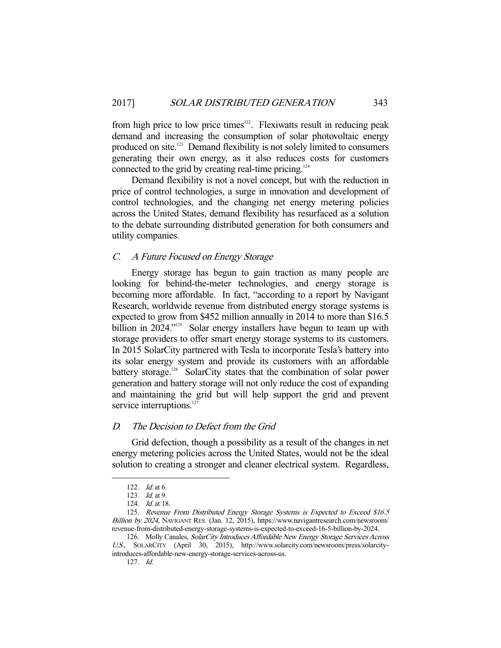from high price to low price times<sup>122</sup>. Flexiwatts result in reducing peak demand and increasing the consumption of solar photovoltaic energy produced on site.<sup>123</sup> Demand flexibility is not solely limited to consumers generating their own energy, as it also reduces costs for customers connected to the grid by creating real-time pricing.<sup>124</sup>

 Demand flexibility is not a novel concept, but with the reduction in price of control technologies, a surge in innovation and development of control technologies, and the changing net energy metering policies across the United States, demand flexibility has resurfaced as a solution to the debate surrounding distributed generation for both consumers and utility companies.

#### C. A Future Focused on Energy Storage

 Energy storage has begun to gain traction as many people are looking for behind-the-meter technologies, and energy storage is becoming more affordable. In fact, "according to a report by Navigant Research, worldwide revenue from distributed energy storage systems is expected to grow from \$452 million annually in 2014 to more than \$16.5 billion in 2024."<sup>125</sup> Solar energy installers have begun to team up with storage providers to offer smart energy storage systems to its customers. In 2015 SolarCity partnered with Tesla to incorporate Tesla's battery into its solar energy system and provide its customers with an affordable battery storage.<sup>126</sup> SolarCity states that the combination of solar power generation and battery storage will not only reduce the cost of expanding and maintaining the grid but will help support the grid and prevent service interruptions.<sup>12</sup>

#### D. The Decision to Defect from the Grid

 Grid defection, though a possibility as a result of the changes in net energy metering policies across the United States, would not be the ideal solution to creating a stronger and cleaner electrical system. Regardless,

 <sup>122</sup>. Id. at 6.

<sup>123</sup>. Id. at 9.

<sup>124.</sup> *Id.* at 18.

<sup>125.</sup> Revenue From Distributed Energy Storage Systems is Expected to Exceed \$16.5 Billion by 2024, NAVIGANT RES. (Jan. 12, 2015), https://www.navigantresearch.com/newsroom/ revenue-from-distributed-energy-storage-systems-is-expected-to-exceed-16-5-billion-by-2024.

 <sup>126.</sup> Molly Canales, SolarCity Introduces Affordable New Energy Storage Services Across U.S., SOLARCITY (April 30, 2015), http://www.solarcity.com/newsroom/press/solarcityintroduces-affordable-new-energy-storage-services-across-us.

<sup>127</sup>. Id.